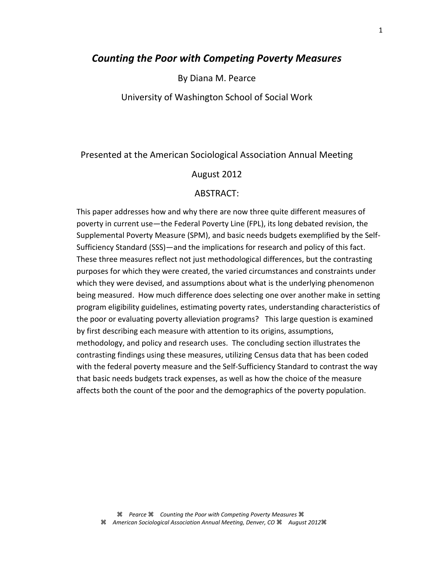# *Counting the Poor with Competing Poverty Measures*

By Diana M. Pearce

University of Washington School of Social Work

## Presented at the American Sociological Association Annual Meeting

#### August 2012

### ABSTRACT:

This paper addresses how and why there are now three quite different measures of poverty in current use—the Federal Poverty Line (FPL), its long debated revision, the Supplemental Poverty Measure (SPM), and basic needs budgets exemplified by the Self-Sufficiency Standard (SSS)—and the implications for research and policy of this fact. These three measures reflect not just methodological differences, but the contrasting purposes for which they were created, the varied circumstances and constraints under which they were devised, and assumptions about what is the underlying phenomenon being measured. How much difference does selecting one over another make in setting program eligibility guidelines, estimating poverty rates, understanding characteristics of the poor or evaluating poverty alleviation programs? This large question is examined by first describing each measure with attention to its origins, assumptions, methodology, and policy and research uses. The concluding section illustrates the contrasting findings using these measures, utilizing Census data that has been coded with the federal poverty measure and the Self-Sufficiency Standard to contrast the way that basic needs budgets track expenses, as well as how the choice of the measure affects both the count of the poor and the demographics of the poverty population.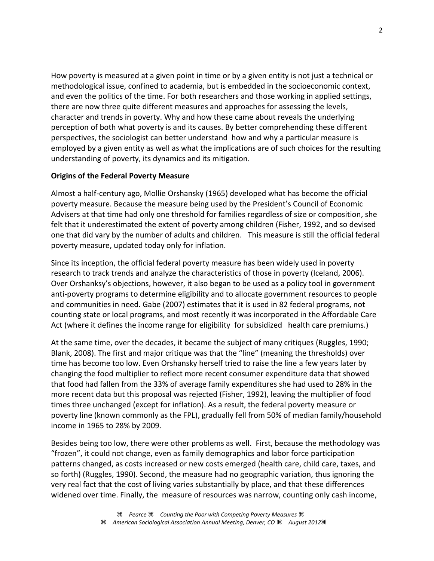How poverty is measured at a given point in time or by a given entity is not just a technical or methodological issue, confined to academia, but is embedded in the socioeconomic context, and even the politics of the time. For both researchers and those working in applied settings, there are now three quite different measures and approaches for assessing the levels, character and trends in poverty. Why and how these came about reveals the underlying perception of both what poverty is and its causes. By better comprehending these different perspectives, the sociologist can better understand how and why a particular measure is employed by a given entity as well as what the implications are of such choices for the resulting understanding of poverty, its dynamics and its mitigation.

## **Origins of the Federal Poverty Measure**

Almost a half-century ago, Mollie Orshansky (1965) developed what has become the official poverty measure. Because the measure being used by the President's Council of Economic Advisers at that time had only one threshold for families regardless of size or composition, she felt that it underestimated the extent of poverty among children (Fisher, 1992, and so devised one that did vary by the number of adults and children. This measure is still the official federal poverty measure, updated today only for inflation.

Since its inception, the official federal poverty measure has been widely used in poverty research to track trends and analyze the characteristics of those in poverty (Iceland, 2006). Over Orshanksy's objections, however, it also began to be used as a policy tool in government anti-poverty programs to determine eligibility and to allocate government resources to people and communities in need. Gabe (2007) estimates that it is used in 82 federal programs, not counting state or local programs, and most recently it was incorporated in the Affordable Care Act (where it defines the income range for eligibility for subsidized health care premiums.)

At the same time, over the decades, it became the subject of many critiques (Ruggles, 1990; Blank, 2008). The first and major critique was that the "line" (meaning the thresholds) over time has become too low. Even Orshansky herself tried to raise the line a few years later by changing the food multiplier to reflect more recent consumer expenditure data that showed that food had fallen from the 33% of average family expenditures she had used to 28% in the more recent data but this proposal was rejected (Fisher, 1992), leaving the multiplier of food times three unchanged (except for inflation). As a result, the federal poverty measure or poverty line (known commonly as the FPL), gradually fell from 50% of median family/household income in 1965 to 28% by 2009.

Besides being too low, there were other problems as well. First, because the methodology was "frozen", it could not change, even as family demographics and labor force participation patterns changed, as costs increased or new costs emerged (health care, child care, taxes, and so forth) (Ruggles, 1990). Second, the measure had no geographic variation, thus ignoring the very real fact that the cost of living varies substantially by place, and that these differences widened over time. Finally, the measure of resources was narrow, counting only cash income,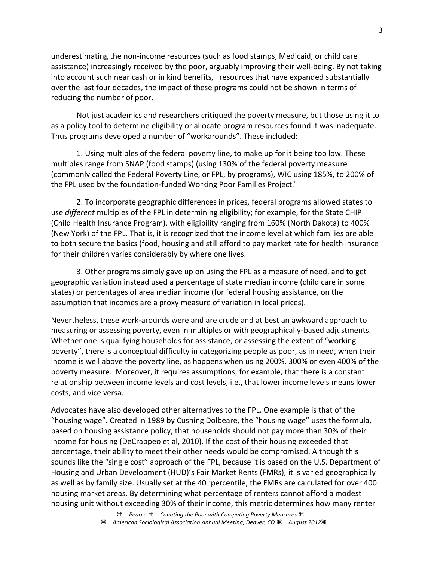underestimating the non-income resources (such as food stamps, Medicaid, or child care assistance) increasingly received by the poor, arguably improving their well-being. By not taking into account such near cash or in kind benefits, resources that have expanded substantially over the last four decades, the impact of these programs could not be shown in terms of reducing the number of poor.

Not just academics and researchers critiqued the poverty measure, but those using it to as a policy tool to determine eligibility or allocate program resources found it was inadequate. Thus programs developed a number of "workarounds". These included:

1. Using multiples of the federal poverty line, to make up for it being too low. These multiples range from SNAP (food stamps) (using 130% of the federal poverty measure (commonly called the Federal Poverty Line, or FPL, by programs), WIC using 185%, to 200% of the FPL used by the foundation-funded Working Poor Families Project.<sup>1</sup>

2. To incorporate geographic differences in prices, federal programs allowed states to use *different* multiples of the FPL in determining eligibility; for example, for the State CHIP (Child Health Insurance Program), with eligibility ranging from 160% (North Dakota) to 400% (New York) of the FPL. That is, it is recognized that the income level at which families are able to both secure the basics (food, housing and still afford to pay market rate for health insurance for their children varies considerably by where one lives.

3. Other programs simply gave up on using the FPL as a measure of need, and to get geographic variation instead used a percentage of state median income (child care in some states) or percentages of area median income (for federal housing assistance, on the assumption that incomes are a proxy measure of variation in local prices).

Nevertheless, these work-arounds were and are crude and at best an awkward approach to measuring or assessing poverty, even in multiples or with geographically-based adjustments. Whether one is qualifying households for assistance, or assessing the extent of "working poverty", there is a conceptual difficulty in categorizing people as poor, as in need, when their income is well above the poverty line, as happens when using 200%, 300% or even 400% of the poverty measure. Moreover, it requires assumptions, for example, that there is a constant relationship between income levels and cost levels, i.e., that lower income levels means lower costs, and vice versa.

Advocates have also developed other alternatives to the FPL. One example is that of the "housing wage". Created in 1989 by Cushing Dolbeare, the "housing wage" uses the formula, based on housing assistance policy, that households should not pay more than 30% of their income for housing (DeCrappeo et al, 2010). If the cost of their housing exceeded that percentage, their ability to meet their other needs would be compromised. Although this sounds like the "single cost" approach of the FPL, because it is based on the U.S. Department of Housing and Urban Development (HUD)'s Fair Market Rents (FMRs), it is varied geographically as well as by family size. Usually set at the 40<sup>th</sup> percentile, the FMRs are calculated for over 400 housing market areas. By determining what percentage of renters cannot afford a modest housing unit without exceeding 30% of their income, this metric determines how many renter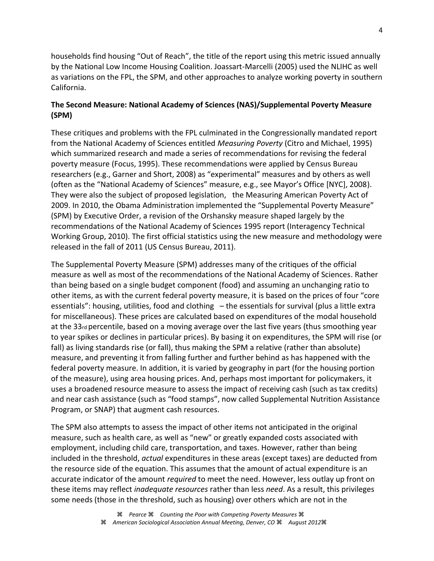households find housing "Out of Reach", the title of the report using this metric issued annually by the National Low Income Housing Coalition. Joassart-Marcelli (2005) used the NLIHC as well as variations on the FPL, the SPM, and other approaches to analyze working poverty in southern California.

## **The Second Measure: National Academy of Sciences (NAS)/Supplemental Poverty Measure (SPM)**

These critiques and problems with the FPL culminated in the Congressionally mandated report from the National Academy of Sciences entitled *Measuring Poverty* (Citro and Michael, 1995) which summarized research and made a series of recommendations for revising the federal poverty measure (Focus, 1995). These recommendations were applied by Census Bureau researchers (e.g., Garner and Short, 2008) as "experimental" measures and by others as well (often as the "National Academy of Sciences" measure, e.g., see Mayor's Office [NYC], 2008). They were also the subject of proposed legislation, the Measuring American Poverty Act of 2009. In 2010, the Obama Administration implemented the "Supplemental Poverty Measure" (SPM) by Executive Order, a revision of the Orshansky measure shaped largely by the recommendations of the National Academy of Sciences 1995 report (Interagency Technical Working Group, 2010). The first official statistics using the new measure and methodology were released in the fall of 2011 (US Census Bureau, 2011).

The Supplemental Poverty Measure (SPM) addresses many of the critiques of the official measure as well as most of the recommendations of the National Academy of Sciences. Rather than being based on a single budget component (food) and assuming an unchanging ratio to other items, as with the current federal poverty measure, it is based on the prices of four "core essentials": housing, utilities, food and clothing – the essentials for survival (plus a little extra for miscellaneous). These prices are calculated based on expenditures of the modal household at the 33rd percentile, based on a moving average over the last five years (thus smoothing year to year spikes or declines in particular prices). By basing it on expenditures, the SPM will rise (or fall) as living standards rise (or fall), thus making the SPM a relative (rather than absolute) measure, and preventing it from falling further and further behind as has happened with the federal poverty measure. In addition, it is varied by geography in part (for the housing portion of the measure), using area housing prices. And, perhaps most important for policymakers, it uses a broadened resource measure to assess the impact of receiving cash (such as tax credits) and near cash assistance (such as "food stamps", now called Supplemental Nutrition Assistance Program, or SNAP) that augment cash resources.

The SPM also attempts to assess the impact of other items not anticipated in the original measure, such as health care, as well as "new" or greatly expanded costs associated with employment, including child care, transportation, and taxes. However, rather than being included in the threshold, *actual* expenditures in these areas (except taxes) are deducted from the resource side of the equation. This assumes that the amount of actual expenditure is an accurate indicator of the amount *required* to meet the need. However, less outlay up front on these items may reflect *inadequate resources* rather than less *need*. As a result, this privileges some needs (those in the threshold, such as housing) over others which are not in the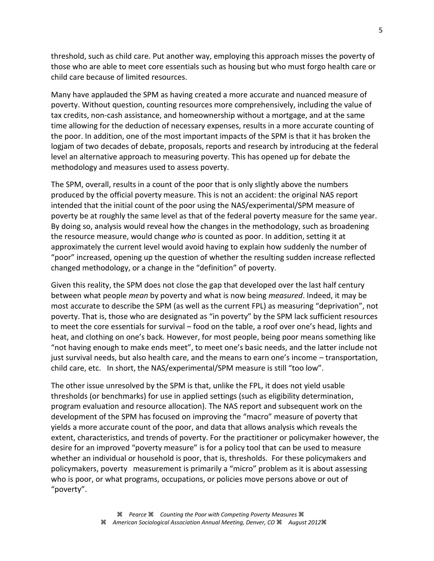threshold, such as child care. Put another way, employing this approach misses the poverty of those who are able to meet core essentials such as housing but who must forgo health care or child care because of limited resources.

Many have applauded the SPM as having created a more accurate and nuanced measure of poverty. Without question, counting resources more comprehensively, including the value of tax credits, non-cash assistance, and homeownership without a mortgage, and at the same time allowing for the deduction of necessary expenses, results in a more accurate counting of the poor. In addition, one of the most important impacts of the SPM is that it has broken the logjam of two decades of debate, proposals, reports and research by introducing at the federal level an alternative approach to measuring poverty. This has opened up for debate the methodology and measures used to assess poverty.

The SPM, overall, results in a count of the poor that is only slightly above the numbers produced by the official poverty measure. This is not an accident: the original NAS report intended that the initial count of the poor using the NAS/experimental/SPM measure of poverty be at roughly the same level as that of the federal poverty measure for the same year. By doing so, analysis would reveal how the changes in the methodology, such as broadening the resource measure, would change *who* is counted as poor. In addition, setting it at approximately the current level would avoid having to explain how suddenly the number of "poor" increased, opening up the question of whether the resulting sudden increase reflected changed methodology, or a change in the "definition" of poverty.

Given this reality, the SPM does not close the gap that developed over the last half century between what people *mean* by poverty and what is now being *measured*. Indeed, it may be most accurate to describe the SPM (as well as the current FPL) as measuring "deprivation", not poverty. That is, those who are designated as "in poverty" by the SPM lack sufficient resources to meet the core essentials for survival – food on the table, a roof over one's head, lights and heat, and clothing on one's back. However, for most people, being poor means something like "not having enough to make ends meet", to meet one's basic needs, and the latter include not just survival needs, but also health care, and the means to earn one's income – transportation, child care, etc. In short, the NAS/experimental/SPM measure is still "too low".

The other issue unresolved by the SPM is that, unlike the FPL, it does not yield usable thresholds (or benchmarks) for use in applied settings (such as eligibility determination, program evaluation and resource allocation). The NAS report and subsequent work on the development of the SPM has focused on improving the "macro" measure of poverty that yields a more accurate count of the poor, and data that allows analysis which reveals the extent, characteristics, and trends of poverty. For the practitioner or policymaker however, the desire for an improved "poverty measure" is for a policy tool that can be used to measure whether an individual or household is poor, that is, thresholds. For these policymakers and policymakers, poverty measurement is primarily a "micro" problem as it is about assessing who is poor, or what programs, occupations, or policies move persons above or out of "poverty".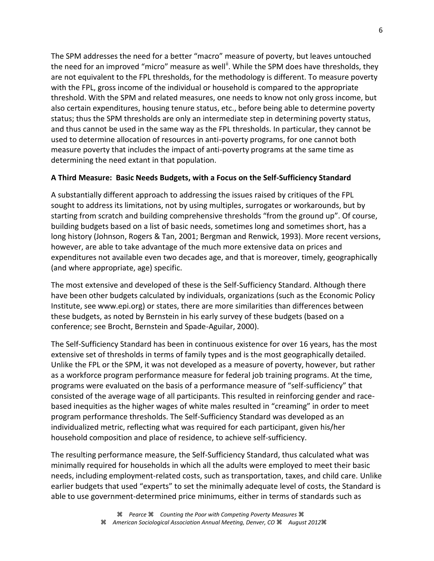The SPM addresses the need for a better "macro" measure of poverty, but leaves untouched the need for an improved "micro" measure as well<sup>if</sup>. While the SPM does have thresholds, they are not equivalent to the FPL thresholds, for the methodology is different. To measure poverty with the FPL, gross income of the individual or household is compared to the appropriate threshold. With the SPM and related measures, one needs to know not only gross income, but also certain expenditures, housing tenure status, etc., before being able to determine poverty status; thus the SPM thresholds are only an intermediate step in determining poverty status, and thus cannot be used in the same way as the FPL thresholds. In particular, they cannot be used to determine allocation of resources in anti-poverty programs, for one cannot both measure poverty that includes the impact of anti-poverty programs at the same time as determining the need extant in that population.

## **A Third Measure: Basic Needs Budgets, with a Focus on the Self-Sufficiency Standard**

A substantially different approach to addressing the issues raised by critiques of the FPL sought to address its limitations, not by using multiples, surrogates or workarounds, but by starting from scratch and building comprehensive thresholds "from the ground up". Of course, building budgets based on a list of basic needs, sometimes long and sometimes short, has a long history (Johnson, Rogers & Tan, 2001; Bergman and Renwick, 1993). More recent versions, however, are able to take advantage of the much more extensive data on prices and expenditures not available even two decades age, and that is moreover, timely, geographically (and where appropriate, age) specific.

The most extensive and developed of these is the Self-Sufficiency Standard. Although there have been other budgets calculated by individuals, organizations (such as the Economic Policy Institute, see www.epi.org) or states, there are more similarities than differences between these budgets, as noted by Bernstein in his early survey of these budgets (based on a conference; see Brocht, Bernstein and Spade-Aguilar, 2000).

The Self-Sufficiency Standard has been in continuous existence for over 16 years, has the most extensive set of thresholds in terms of family types and is the most geographically detailed. Unlike the FPL or the SPM, it was not developed as a measure of poverty, however, but rather as a workforce program performance measure for federal job training programs. At the time, programs were evaluated on the basis of a performance measure of "self-sufficiency" that consisted of the average wage of all participants. This resulted in reinforcing gender and racebased inequities as the higher wages of white males resulted in "creaming" in order to meet program performance thresholds. The Self-Sufficiency Standard was developed as an individualized metric, reflecting what was required for each participant, given his/her household composition and place of residence, to achieve self-sufficiency.

The resulting performance measure, the Self-Sufficiency Standard, thus calculated what was minimally required for households in which all the adults were employed to meet their basic needs, including employment-related costs, such as transportation, taxes, and child care. Unlike earlier budgets that used "experts" to set the minimally adequate level of costs, the Standard is able to use government-determined price minimums, either in terms of standards such as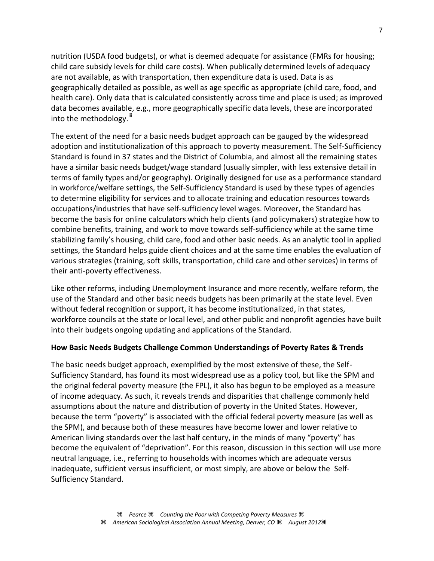nutrition (USDA food budgets), or what is deemed adequate for assistance (FMRs for housing; child care subsidy levels for child care costs). When publically determined levels of adequacy are not available, as with transportation, then expenditure data is used. Data is as geographically detailed as possible, as well as age specific as appropriate (child care, food, and health care). Only data that is calculated consistently across time and place is used; as improved data becomes available, e.g., more geographically specific data levels, these are incorporated into the methodology. $^{\text{iii}}$ 

The extent of the need for a basic needs budget approach can be gauged by the widespread adoption and institutionalization of this approach to poverty measurement. The Self-Sufficiency Standard is found in 37 states and the District of Columbia, and almost all the remaining states have a similar basic needs budget/wage standard (usually simpler, with less extensive detail in terms of family types and/or geography). Originally designed for use as a performance standard in workforce/welfare settings, the Self-Sufficiency Standard is used by these types of agencies to determine eligibility for services and to allocate training and education resources towards occupations/industries that have self-sufficiency level wages. Moreover, the Standard has become the basis for online calculators which help clients (and policymakers) strategize how to combine benefits, training, and work to move towards self-sufficiency while at the same time stabilizing family's housing, child care, food and other basic needs. As an analytic tool in applied settings, the Standard helps guide client choices and at the same time enables the evaluation of various strategies (training, soft skills, transportation, child care and other services) in terms of their anti-poverty effectiveness.

Like other reforms, including Unemployment Insurance and more recently, welfare reform, the use of the Standard and other basic needs budgets has been primarily at the state level. Even without federal recognition or support, it has become institutionalized, in that states, workforce councils at the state or local level, and other public and nonprofit agencies have built into their budgets ongoing updating and applications of the Standard.

## **How Basic Needs Budgets Challenge Common Understandings of Poverty Rates & Trends**

The basic needs budget approach, exemplified by the most extensive of these, the Self-Sufficiency Standard, has found its most widespread use as a policy tool, but like the SPM and the original federal poverty measure (the FPL), it also has begun to be employed as a measure of income adequacy. As such, it reveals trends and disparities that challenge commonly held assumptions about the nature and distribution of poverty in the United States. However, because the term "poverty" is associated with the official federal poverty measure (as well as the SPM), and because both of these measures have become lower and lower relative to American living standards over the last half century, in the minds of many "poverty" has become the equivalent of "deprivation". For this reason, discussion in this section will use more neutral language, i.e., referring to households with incomes which are adequate versus inadequate, sufficient versus insufficient, or most simply, are above or below the Self-Sufficiency Standard.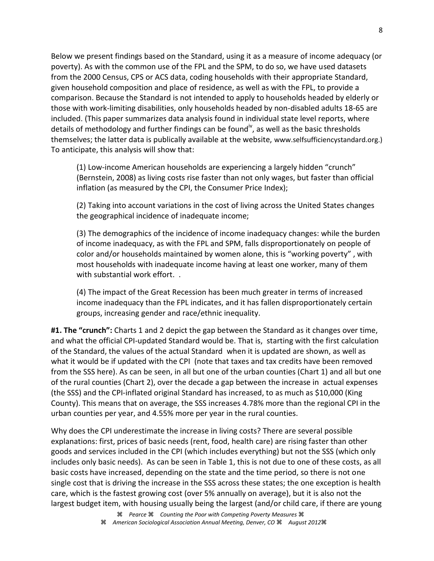Below we present findings based on the Standard, using it as a measure of income adequacy (or poverty). As with the common use of the FPL and the SPM, to do so, we have used datasets from the 2000 Census, CPS or ACS data, coding households with their appropriate Standard, given household composition and place of residence, as well as with the FPL, to provide a comparison. Because the Standard is not intended to apply to households headed by elderly or those with work-limiting disabilities, only households headed by non-disabled adults 18-65 are included. (This paper summarizes data analysis found in individual state level reports, where details of methodology and further findings can be found<sup>iv</sup>, as well as the basic thresholds themselves; the latter data is publically available at the website, www.selfsufficiencystandard.org.) To anticipate, this analysis will show that:

(1) Low-income American households are experiencing a largely hidden "crunch" (Bernstein, 2008) as living costs rise faster than not only wages, but faster than official inflation (as measured by the CPI, the Consumer Price Index);

(2) Taking into account variations in the cost of living across the United States changes the geographical incidence of inadequate income;

(3) The demographics of the incidence of income inadequacy changes: while the burden of income inadequacy, as with the FPL and SPM, falls disproportionately on people of color and/or households maintained by women alone, this is "working poverty" , with most households with inadequate income having at least one worker, many of them with substantial work effort. .

(4) The impact of the Great Recession has been much greater in terms of increased income inadequacy than the FPL indicates, and it has fallen disproportionately certain groups, increasing gender and race/ethnic inequality.

**#1. The "crunch":** Charts 1 and 2 depict the gap between the Standard as it changes over time, and what the official CPI-updated Standard would be. That is, starting with the first calculation of the Standard, the values of the actual Standard when it is updated are shown, as well as what it would be if updated with the CPI (note that taxes and tax credits have been removed from the SSS here). As can be seen, in all but one of the urban counties (Chart 1) and all but one of the rural counties (Chart 2), over the decade a gap between the increase in actual expenses (the SSS) and the CPI-inflated original Standard has increased, to as much as \$10,000 (King County). This means that on average, the SSS increases 4.78% more than the regional CPI in the urban counties per year, and 4.55% more per year in the rural counties.

Why does the CPI underestimate the increase in living costs? There are several possible explanations: first, prices of basic needs (rent, food, health care) are rising faster than other goods and services included in the CPI (which includes everything) but not the SSS (which only includes only basic needs). As can be seen in Table 1, this is not due to one of these costs, as all basic costs have increased, depending on the state and the time period, so there is not one single cost that is driving the increase in the SSS across these states; the one exception is health care, which is the fastest growing cost (over 5% annually on average), but it is also not the largest budget item, with housing usually being the largest (and/or child care, if there are young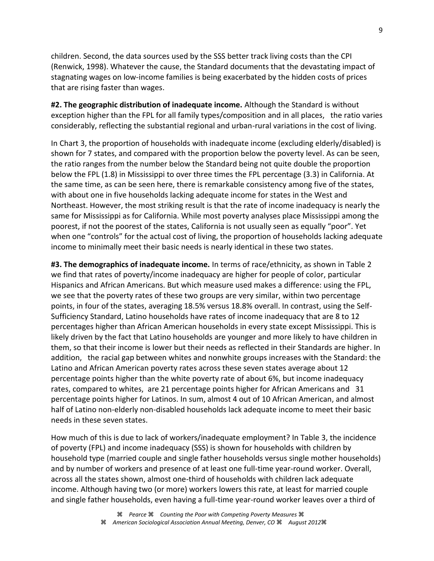children. Second, the data sources used by the SSS better track living costs than the CPI (Renwick, 1998). Whatever the cause, the Standard documents that the devastating impact of stagnating wages on low-income families is being exacerbated by the hidden costs of prices that are rising faster than wages.

**#2. The geographic distribution of inadequate income.** Although the Standard is without exception higher than the FPL for all family types/composition and in all places, the ratio varies considerably, reflecting the substantial regional and urban-rural variations in the cost of living.

In Chart 3, the proportion of households with inadequate income (excluding elderly/disabled) is shown for 7 states, and compared with the proportion below the poverty level. As can be seen, the ratio ranges from the number below the Standard being not quite double the proportion below the FPL (1.8) in Mississippi to over three times the FPL percentage (3.3) in California. At the same time, as can be seen here, there is remarkable consistency among five of the states, with about one in five households lacking adequate income for states in the West and Northeast. However, the most striking result is that the rate of income inadequacy is nearly the same for Mississippi as for California. While most poverty analyses place Mississippi among the poorest, if not the poorest of the states, California is not usually seen as equally "poor". Yet when one "controls" for the actual cost of living, the proportion of households lacking adequate income to minimally meet their basic needs is nearly identical in these two states.

**#3. The demographics of inadequate income.** In terms of race/ethnicity, as shown in Table 2 we find that rates of poverty/income inadequacy are higher for people of color, particular Hispanics and African Americans. But which measure used makes a difference: using the FPL, we see that the poverty rates of these two groups are very similar, within two percentage points, in four of the states, averaging 18.5% versus 18.8% overall. In contrast, using the Self-Sufficiency Standard, Latino households have rates of income inadequacy that are 8 to 12 percentages higher than African American households in every state except Mississippi. This is likely driven by the fact that Latino households are younger and more likely to have children in them, so that their income is lower but their needs as reflected in their Standards are higher. In addition, the racial gap between whites and nonwhite groups increases with the Standard: the Latino and African American poverty rates across these seven states average about 12 percentage points higher than the white poverty rate of about 6%, but income inadequacy rates, compared to whites, are 21 percentage points higher for African Americans and 31 percentage points higher for Latinos. In sum, almost 4 out of 10 African American, and almost half of Latino non-elderly non-disabled households lack adequate income to meet their basic needs in these seven states.

How much of this is due to lack of workers/inadequate employment? In Table 3, the incidence of poverty (FPL) and income inadequacy (SSS) is shown for households with children by household type (married couple and single father households versus single mother households) and by number of workers and presence of at least one full-time year-round worker. Overall, across all the states shown, almost one-third of households with children lack adequate income. Although having two (or more) workers lowers this rate, at least for married couple and single father households, even having a full-time year-round worker leaves over a third of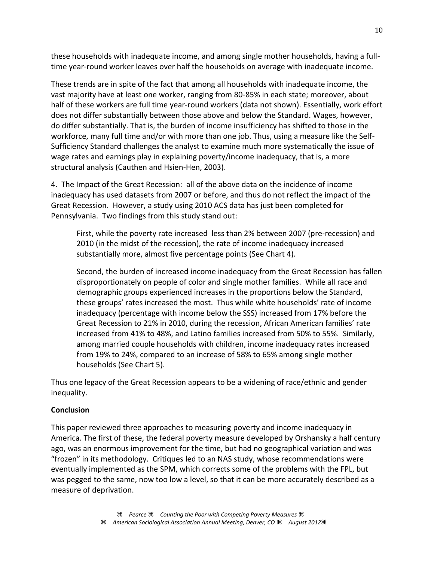these households with inadequate income, and among single mother households, having a fulltime year-round worker leaves over half the households on average with inadequate income.

These trends are in spite of the fact that among all households with inadequate income, the vast majority have at least one worker, ranging from 80-85% in each state; moreover, about half of these workers are full time year-round workers (data not shown). Essentially, work effort does not differ substantially between those above and below the Standard. Wages, however, do differ substantially. That is, the burden of income insufficiency has shifted to those in the workforce, many full time and/or with more than one job. Thus, using a measure like the Self-Sufficiency Standard challenges the analyst to examine much more systematically the issue of wage rates and earnings play in explaining poverty/income inadequacy, that is, a more structural analysis (Cauthen and Hsien-Hen, 2003).

4. The Impact of the Great Recession: all of the above data on the incidence of income inadequacy has used datasets from 2007 or before, and thus do not reflect the impact of the Great Recession. However, a study using 2010 ACS data has just been completed for Pennsylvania. Two findings from this study stand out:

First, while the poverty rate increased less than 2% between 2007 (pre-recession) and 2010 (in the midst of the recession), the rate of income inadequacy increased substantially more, almost five percentage points (See Chart 4).

Second, the burden of increased income inadequacy from the Great Recession has fallen disproportionately on people of color and single mother families. While all race and demographic groups experienced increases in the proportions below the Standard, these groups' rates increased the most. Thus while white households' rate of income inadequacy (percentage with income below the SSS) increased from 17% before the Great Recession to 21% in 2010, during the recession, African American families' rate increased from 41% to 48%, and Latino families increased from 50% to 55%. Similarly, among married couple households with children, income inadequacy rates increased from 19% to 24%, compared to an increase of 58% to 65% among single mother households (See Chart 5).

Thus one legacy of the Great Recession appears to be a widening of race/ethnic and gender inequality.

## **Conclusion**

This paper reviewed three approaches to measuring poverty and income inadequacy in America. The first of these, the federal poverty measure developed by Orshansky a half century ago, was an enormous improvement for the time, but had no geographical variation and was "frozen" in its methodology. Critiques led to an NAS study, whose recommendations were eventually implemented as the SPM, which corrects some of the problems with the FPL, but was pegged to the same, now too low a level, so that it can be more accurately described as a measure of deprivation.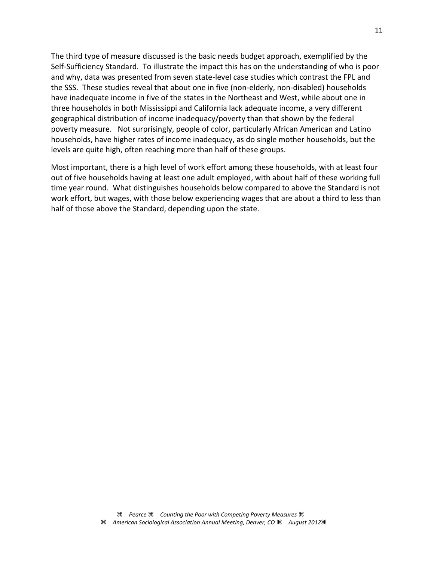The third type of measure discussed is the basic needs budget approach, exemplified by the Self-Sufficiency Standard. To illustrate the impact this has on the understanding of who is poor and why, data was presented from seven state-level case studies which contrast the FPL and the SSS. These studies reveal that about one in five (non-elderly, non-disabled) households have inadequate income in five of the states in the Northeast and West, while about one in three households in both Mississippi and California lack adequate income, a very different geographical distribution of income inadequacy/poverty than that shown by the federal poverty measure. Not surprisingly, people of color, particularly African American and Latino households, have higher rates of income inadequacy, as do single mother households, but the levels are quite high, often reaching more than half of these groups.

Most important, there is a high level of work effort among these households, with at least four out of five households having at least one adult employed, with about half of these working full time year round. What distinguishes households below compared to above the Standard is not work effort, but wages, with those below experiencing wages that are about a third to less than half of those above the Standard, depending upon the state.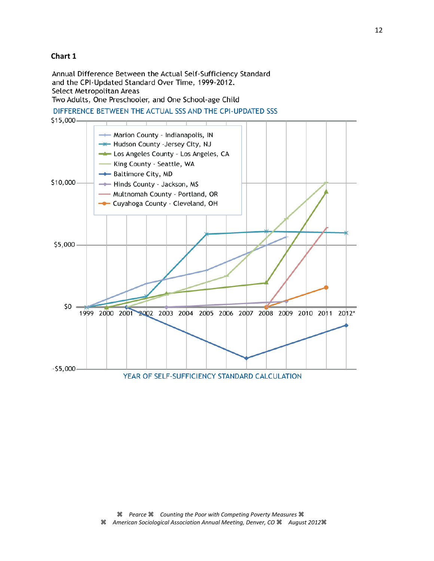#### **Chart 1**

Annual Difference Between the Actual Self-Sufficiency Standard and the CPI-Updated Standard Over Time, 1999-2012. Select Metropolitan Areas Two Adults, One Preschooler, and One School-age Child

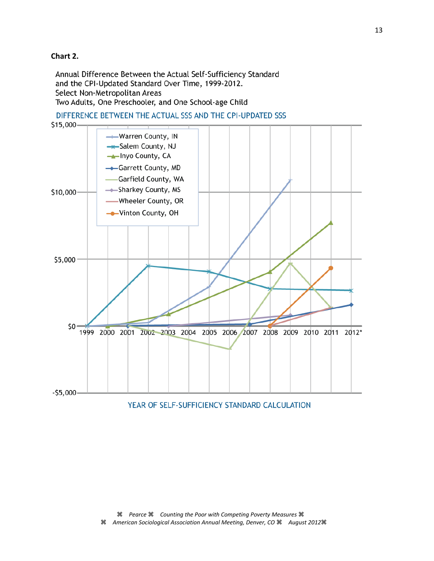## **Chart 2.**

Annual Difference Between the Actual Self-Sufficiency Standard and the CPI-Updated Standard Over Time, 1999-2012. Select Non-Metropolitan Areas Two Adults, One Preschooler, and One School-age Child





YEAR OF SELF-SUFFICIENCY STANDARD CALCULATION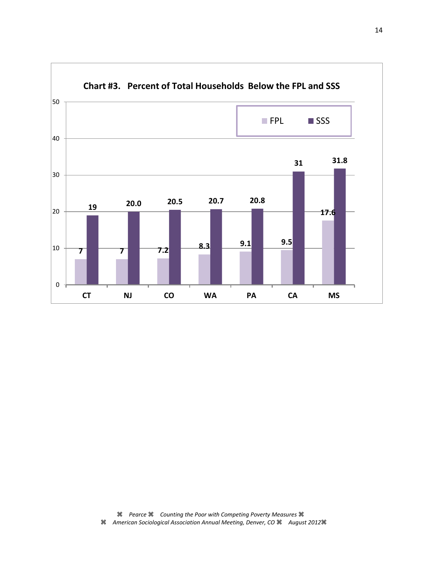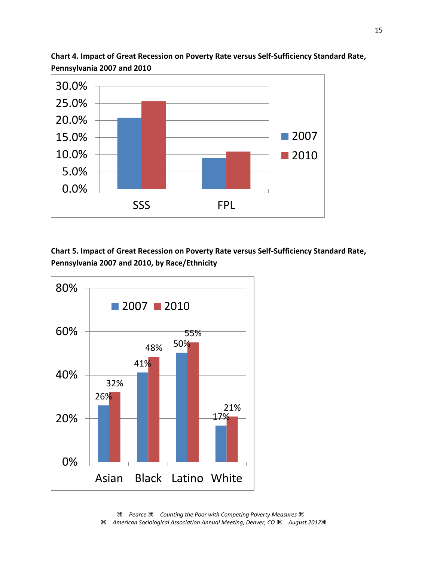

**Chart 4. Impact of Great Recession on Poverty Rate versus Self-Sufficiency Standard Rate, Pennsylvania 2007 and 2010**

**Chart 5. Impact of Great Recession on Poverty Rate versus Self-Sufficiency Standard Rate, Pennsylvania 2007 and 2010, by Race/Ethnicity**

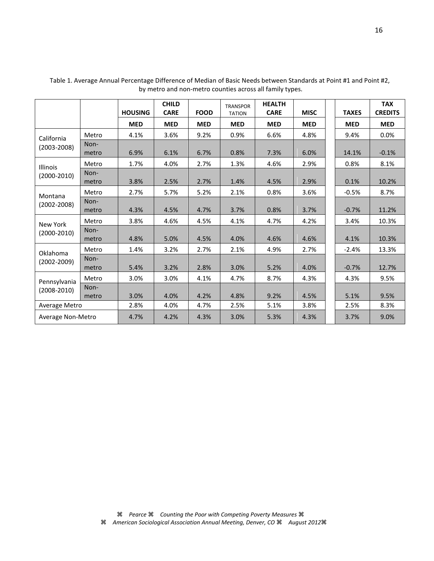|                                 |               | <b>HOUSING</b> | <b>CHILD</b><br><b>CARE</b> | <b>FOOD</b> | <b>TRANSPOR</b><br><b>TATION</b> | <b>HEALTH</b><br><b>CARE</b> | <b>MISC</b> | <b>TAXES</b> | <b>TAX</b><br><b>CREDITS</b> |
|---------------------------------|---------------|----------------|-----------------------------|-------------|----------------------------------|------------------------------|-------------|--------------|------------------------------|
|                                 |               | <b>MED</b>     | <b>MED</b>                  | <b>MED</b>  | <b>MED</b>                       | <b>MED</b>                   | <b>MED</b>  | <b>MED</b>   | <b>MED</b>                   |
| California<br>$(2003 - 2008)$   | Metro         | 4.1%           | 3.6%                        | 9.2%        | 0.9%                             | 6.6%                         | 4.8%        | 9.4%         | 0.0%                         |
|                                 | Non-<br>metro | 6.9%           | 6.1%                        | 6.7%        | 0.8%                             | 7.3%                         | 6.0%        | 14.1%        | $-0.1%$                      |
| <b>Illinois</b>                 | Metro         | 1.7%           | 4.0%                        | 2.7%        | 1.3%                             | 4.6%                         | 2.9%        | 0.8%         | 8.1%                         |
| $(2000-2010)$                   | Non-<br>metro | 3.8%           | 2.5%                        | 2.7%        | 1.4%                             | 4.5%                         | 2.9%        | 0.1%         | 10.2%                        |
| Montana<br>$(2002 - 2008)$      | Metro         | 2.7%           | 5.7%                        | 5.2%        | 2.1%                             | 0.8%                         | 3.6%        | $-0.5%$      | 8.7%                         |
|                                 | Non-<br>metro | 4.3%           | 4.5%                        | 4.7%        | 3.7%                             | 0.8%                         | 3.7%        | $-0.7%$      | 11.2%                        |
| New York                        | Metro         | 3.8%           | 4.6%                        | 4.5%        | 4.1%                             | 4.7%                         | 4.2%        | 3.4%         | 10.3%                        |
| $(2000-2010)$                   | Non-<br>metro | 4.8%           | 5.0%                        | 4.5%        | 4.0%                             | 4.6%                         | 4.6%        | 4.1%         | 10.3%                        |
| Oklahoma<br>$(2002 - 2009)$     | Metro         | 1.4%           | 3.2%                        | 2.7%        | 2.1%                             | 4.9%                         | 2.7%        | $-2.4%$      | 13.3%                        |
|                                 | Non-<br>metro | 5.4%           | 3.2%                        | 2.8%        | 3.0%                             | 5.2%                         | 4.0%        | $-0.7%$      | 12.7%                        |
| Pennsylvania<br>$(2008 - 2010)$ | Metro         | 3.0%           | 3.0%                        | 4.1%        | 4.7%                             | 8.7%                         | 4.3%        | 4.3%         | 9.5%                         |
|                                 | Non-<br>metro | 3.0%           | 4.0%                        | 4.2%        | 4.8%                             | 9.2%                         | 4.5%        | 5.1%         | 9.5%                         |
| Average Metro                   |               | 2.8%           | 4.0%                        | 4.7%        | 2.5%                             | 5.1%                         | 3.8%        | 2.5%         | 8.3%                         |
| Average Non-Metro               |               | 4.7%           | 4.2%                        | 4.3%        | 3.0%                             | 5.3%                         | 4.3%        | 3.7%         | 9.0%                         |

Table 1. Average Annual Percentage Difference of Median of Basic Needs between Standards at Point #1 and Point #2, by metro and non-metro counties across all family types.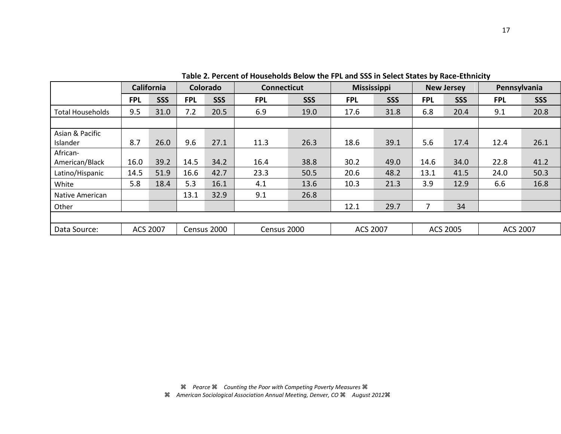|                         |            | California      |            | Colorado    | <b>Connecticut</b> |            | <b>Mississippi</b> |            |            | <b>New Jersey</b> |                 | Pennsylvania |
|-------------------------|------------|-----------------|------------|-------------|--------------------|------------|--------------------|------------|------------|-------------------|-----------------|--------------|
|                         | <b>FPL</b> | <b>SSS</b>      | <b>FPL</b> | <b>SSS</b>  | <b>FPL</b>         | <b>SSS</b> | <b>FPL</b>         | <b>SSS</b> | <b>FPL</b> | <b>SSS</b>        | <b>FPL</b>      | <b>SSS</b>   |
| <b>Total Households</b> | 9.5        | 31.0            | 7.2        | 20.5        | 6.9                | 19.0       | 17.6               | 31.8       | 6.8        | 20.4              | 9.1             | 20.8         |
|                         |            |                 |            |             |                    |            |                    |            |            |                   |                 |              |
| Asian & Pacific         |            |                 |            |             |                    |            |                    |            |            |                   |                 |              |
| Islander                | 8.7        | 26.0            | 9.6        | 27.1        | 11.3               | 26.3       | 18.6               | 39.1       | 5.6        | 17.4              | 12.4            | 26.1         |
| African-                |            |                 |            |             |                    |            |                    |            |            |                   |                 |              |
| American/Black          | 16.0       | 39.2            | 14.5       | 34.2        | 16.4               | 38.8       | 30.2               | 49.0       | 14.6       | 34.0              | 22.8            | 41.2         |
| Latino/Hispanic         | 14.5       | 51.9            | 16.6       | 42.7        | 23.3               | 50.5       | 20.6               | 48.2       | 13.1       | 41.5              | 24.0            | 50.3         |
| White                   | 5.8        | 18.4            | 5.3        | 16.1        | 4.1                | 13.6       | 10.3               | 21.3       | 3.9        | 12.9              | 6.6             | 16.8         |
| Native American         |            |                 | 13.1       | 32.9        | 9.1                | 26.8       |                    |            |            |                   |                 |              |
| Other                   |            |                 |            |             |                    |            | 12.1               | 29.7       | 7          | 34                |                 |              |
|                         |            |                 |            |             |                    |            |                    |            |            |                   |                 |              |
| Data Source:            |            | <b>ACS 2007</b> |            | Census 2000 | Census 2000        |            | <b>ACS 2007</b>    |            | ACS 2005   |                   | <b>ACS 2007</b> |              |

**Table 2. Percent of Households Below the FPL and SSS in Select States by Race-Ethnicity**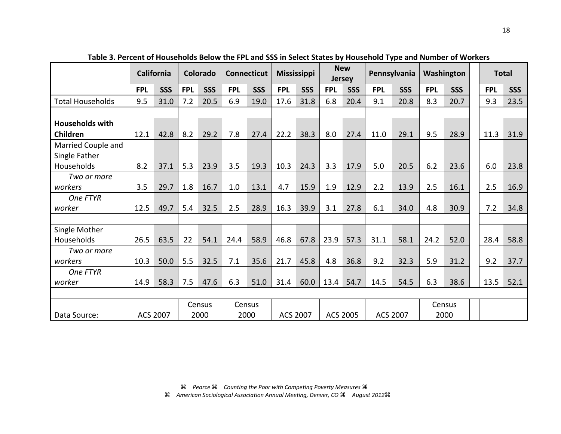|                         | California      |            | <b>Colorado</b> |            | <b>Connecticut</b> |            | <b>Mississippi</b> |            | <b>New</b><br><b>Jersey</b> |      | Pennsylvania    |            | Washington |            |            | <b>Total</b> |
|-------------------------|-----------------|------------|-----------------|------------|--------------------|------------|--------------------|------------|-----------------------------|------|-----------------|------------|------------|------------|------------|--------------|
|                         | <b>FPL</b>      | <b>SSS</b> | <b>FPL</b>      | <b>SSS</b> | <b>FPL</b>         | <b>SSS</b> | <b>FPL</b>         | <b>SSS</b> | <b>FPL</b>                  | SSS  | <b>FPL</b>      | <b>SSS</b> | <b>FPL</b> | <b>SSS</b> | <b>FPL</b> | <b>SSS</b>   |
| <b>Total Households</b> | 9.5             | 31.0       | 7.2             | 20.5       | 6.9                | 19.0       | 17.6               | 31.8       | 6.8                         | 20.4 | 9.1             | 20.8       | 8.3        | 20.7       | 9.3        | 23.5         |
|                         |                 |            |                 |            |                    |            |                    |            |                             |      |                 |            |            |            |            |              |
| <b>Households with</b>  |                 |            |                 |            |                    |            |                    |            |                             |      |                 |            |            |            |            |              |
| Children                | 12.1            | 42.8       | 8.2             | 29.2       | 7.8                | 27.4       | 22.2               | 38.3       | 8.0                         | 27.4 | 11.0            | 29.1       | 9.5        | 28.9       | 11.3       | 31.9         |
| Married Couple and      |                 |            |                 |            |                    |            |                    |            |                             |      |                 |            |            |            |            |              |
| Single Father           |                 |            |                 |            |                    |            |                    |            |                             |      |                 |            |            |            |            |              |
| Households              | 8.2             | 37.1       | 5.3             | 23.9       | 3.5                | 19.3       | 10.3               | 24.3       | 3.3                         | 17.9 | 5.0             | 20.5       | 6.2        | 23.6       | 6.0        | 23.8         |
| Two or more             |                 |            |                 |            |                    |            |                    |            |                             |      |                 |            |            |            |            |              |
| workers                 | 3.5             | 29.7       | 1.8             | 16.7       | 1.0                | 13.1       | 4.7                | 15.9       | 1.9                         | 12.9 | 2.2             | 13.9       | 2.5        | 16.1       | 2.5        | 16.9         |
| One FTYR                |                 |            |                 |            |                    |            |                    |            |                             |      |                 |            |            |            |            |              |
| worker                  | 12.5            | 49.7       | 5.4             | 32.5       | 2.5                | 28.9       | 16.3               | 39.9       | 3.1                         | 27.8 | 6.1             | 34.0       | 4.8        | 30.9       | 7.2        | 34.8         |
|                         |                 |            |                 |            |                    |            |                    |            |                             |      |                 |            |            |            |            |              |
| Single Mother           |                 |            |                 |            |                    |            |                    |            |                             |      |                 |            |            |            |            |              |
| Households              | 26.5            | 63.5       | 22              | 54.1       | 24.4               | 58.9       | 46.8               | 67.8       | 23.9                        | 57.3 | 31.1            | 58.1       | 24.2       | 52.0       | 28.4       | 58.8         |
| Two or more             |                 |            |                 |            |                    |            |                    |            |                             |      |                 |            |            |            |            |              |
| workers                 | 10.3            | 50.0       | 5.5             | 32.5       | 7.1                | 35.6       | 21.7               | 45.8       | 4.8                         | 36.8 | 9.2             | 32.3       | 5.9        | 31.2       | 9.2        | 37.7         |
| One FTYR                |                 |            |                 |            |                    |            |                    |            |                             |      |                 |            |            |            |            |              |
| worker                  | 14.9            | 58.3       | 7.5             | 47.6       | 6.3                | 51.0       | 31.4               | 60.0       | 13.4                        | 54.7 | 14.5            | 54.5       | 6.3        | 38.6       | 13.5       | 52.1         |
|                         |                 |            |                 |            |                    |            |                    |            |                             |      |                 |            |            |            |            |              |
|                         |                 |            | Census          |            | Census             |            |                    |            |                             |      |                 |            | Census     |            |            |              |
| Data Source:            | <b>ACS 2007</b> |            | 2000            |            | 2000               |            | <b>ACS 2007</b>    |            | <b>ACS 2005</b>             |      | <b>ACS 2007</b> |            | 2000       |            |            |              |

**Table 3. Percent of Households Below the FPL and SSS in Select States by Household Type and Number of Workers**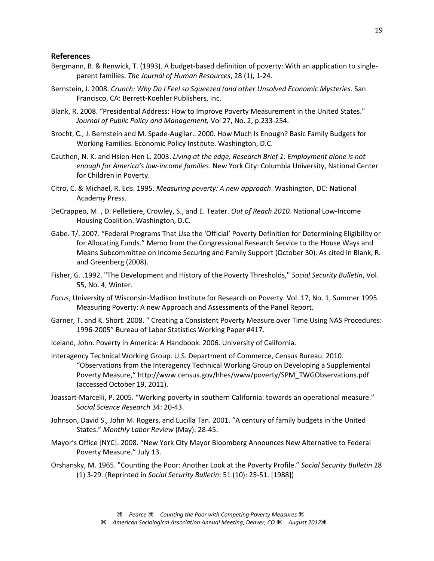#### **References**

- Bergmann, B. & Renwick, T. (1993). A budget-based definition of poverty: With an application to singleparent families. *The Journal of Human Resources*, 28 (1), 1-24.
- Bernstein, J. 2008. *Crunch: Why Do I Feel so Squeezed (and other Unsolved Economic Mysteries.* San Francisco, CA: Berrett-Koehler Publishers, Inc.
- Blank, R. 2008. "Presidential Address: How to Improve Poverty Measurement in the United States." *Journal of Public Policy and Management,* Vol 27, No. 2, p.233-254.
- Brocht, C., J. Bernstein and M. Spade-Augilar.. 2000. How Much Is Enough? Basic Family Budgets for Working Families. Economic Policy Institute. Washington, D.C.
- Cauthen, N. K. and Hsien-Hen L. 2003. *Living at the edge, Research Brief 1: Employment alone is not enough for America's low-income families*. New York City: Columbia University, National Center for Children in Poverty.
- Citro, C. & Michael, R. Eds. 1995. *Measuring poverty: A new approach*. Washington, DC: National Academy Press.
- DeCrappeo, M. , D. Pelletiere, Crowley, S., and E. Teater. *Out of Reach 2010.* National Low-Income Housing Coalition. Washington, D.C.
- Gabe. T/. 2007. "Federal Programs That Use the 'Official' Poverty Definition for Determining Eligibility or for Allocating Funds." Memo from the Congressional Research Service to the House Ways and Means Subcommittee on Income Securing and Family Support (October 30). As cited in Blank, R. and Greenberg (2008).
- Fisher, G. .1992. "The Development and History of the Poverty Thresholds," *Social Security Bulletin*, Vol. 55, No. 4, Winter.
- *Focus*, University of Wisconsin-Madison Institute for Research on Poverty. Vol. 17, No. 1, Summer 1995. Measuring Poverty: A new Approach and Assessments of the Panel Report.
- Garner, T. and K. Short. 2008. " Creating a Consistent Poverty Measure over Time Using NAS Procedures: 1996-2005" Bureau of Labor Statistics Working Paper #417.
- Iceland, John. Poverty in America: A Handbook. 2006. University of California.
- Interagency Technical Working Group. U.S. Department of Commerce, Census Bureau. 2010. "Observations from the Interagency Technical Working Group on Developing a Supplemental Poverty Measure," http://www.census.gov/hhes/www/poverty/SPM\_TWGObservations.pdf (accessed October 19, 2011).
- Joassart-Marcelli, P. 2005. "Working poverty in southern California: towards an operational measure." *Social Science Research* 34: 20-43.
- Johnson, David S., John M. Rogers, and Lucilla Tan. 2001. "A century of family budgets in the United States." *Monthly Labor Review* (May): 28-45.
- Mayor's Office [NYC]. 2008. "New York City Mayor Bloomberg Announces New Alternative to Federal Poverty Measure." July 13.
- Orshansky, M. 1965. "Counting the Poor: Another Look at the Poverty Profile." *Social Security Bulletin* 28 (1) 3-29. (Reprinted in *Social Security Bulletin*: 51 (10): 25-51. [1988])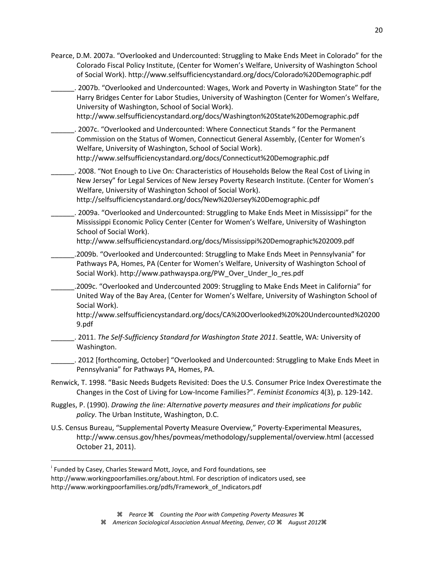Pearce, D.M. 2007a. "Overlooked and Undercounted: Struggling to Make Ends Meet in Colorado" for the Colorado Fiscal Policy Institute, (Center for Women's Welfare, University of Washington School of Social Work). http://www.selfsufficiencystandard.org/docs/Colorado%20Demographic.pdf

\_\_\_\_\_\_. 2007b. "Overlooked and Undercounted: Wages, Work and Poverty in Washington State" for the Harry Bridges Center for Labor Studies, University of Washington (Center for Women's Welfare, University of Washington, School of Social Work). http://www.selfsufficiencystandard.org/docs/Washington%20State%20Demographic.pdf

\_\_\_\_\_\_. 2007c. "Overlooked and Undercounted: Where Connecticut Stands " for the Permanent Commission on the Status of Women, Connecticut General Assembly, (Center for Women's Welfare, University of Washington, School of Social Work). http://www.selfsufficiencystandard.org/docs/Connecticut%20Demographic.pdf

\_\_\_\_\_\_. 2008. "Not Enough to Live On: Characteristics of Households Below the Real Cost of Living in New Jersey" for Legal Services of New Jersey Poverty Research Institute. (Center for Women's Welfare, University of Washington School of Social Work).

http://selfsufficiencystandard.org/docs/New%20Jersey%20Demographic.pdf

\_\_\_\_\_\_. 2009a. "Overlooked and Undercounted: Struggling to Make Ends Meet in Mississippi" for the Mississippi Economic Policy Center (Center for Women's Welfare, University of Washington School of Social Work).

http://www.selfsufficiencystandard.org/docs/Mississippi%20Demographic%202009.pdf

\_\_\_\_\_\_.2009b. "Overlooked and Undercounted: Struggling to Make Ends Meet in Pennsylvania" for Pathways PA, Homes, PA (Center for Women's Welfare, University of Washington School of Social Work). http://www.pathwayspa.org/PW\_Over\_Under\_lo\_res.pdf

\_\_\_\_\_\_.2009c. "Overlooked and Undercounted 2009: Struggling to Make Ends Meet in California" for United Way of the Bay Area, (Center for Women's Welfare, University of Washington School of Social Work).

http://www.selfsufficiencystandard.org/docs/CA%20Overlooked%20%20Undercounted%20200 9.pdf

\_\_\_\_\_\_. 2011. *The Self-Sufficiency Standard for Washington State 2011*. Seattle, WA: University of Washington.

\_\_\_\_\_\_. 2012 [forthcoming, October] "Overlooked and Undercounted: Struggling to Make Ends Meet in Pennsylvania" for Pathways PA, Homes, PA.

- Renwick, T. 1998. "Basic Needs Budgets Revisited: Does the U.S. Consumer Price Index Overestimate the Changes in the Cost of Living for Low-Income Families?". *Feminist Economics* 4(3), p. 129-142.
- Ruggles, P. (1990). *Drawing the line: Alternative poverty measures and their implications for public policy*. The Urban Institute, Washington, D.C.
- U.S. Census Bureau, "Supplemental Poverty Measure Overview," Poverty-Experimental Measures, http://www.census.gov/hhes/povmeas/methodology/supplemental/overview.html (accessed October 21, 2011).

 $\overline{\phantom{a}}$ 

<sup>&</sup>lt;sup>i</sup> Funded by Casey, Charles Steward Mott, Joyce, and Ford foundations, see

http://www.workingpoorfamilies.org/about.html. For description of indicators used, see http://www.workingpoorfamilies.org/pdfs/Framework\_of\_Indicators.pdf